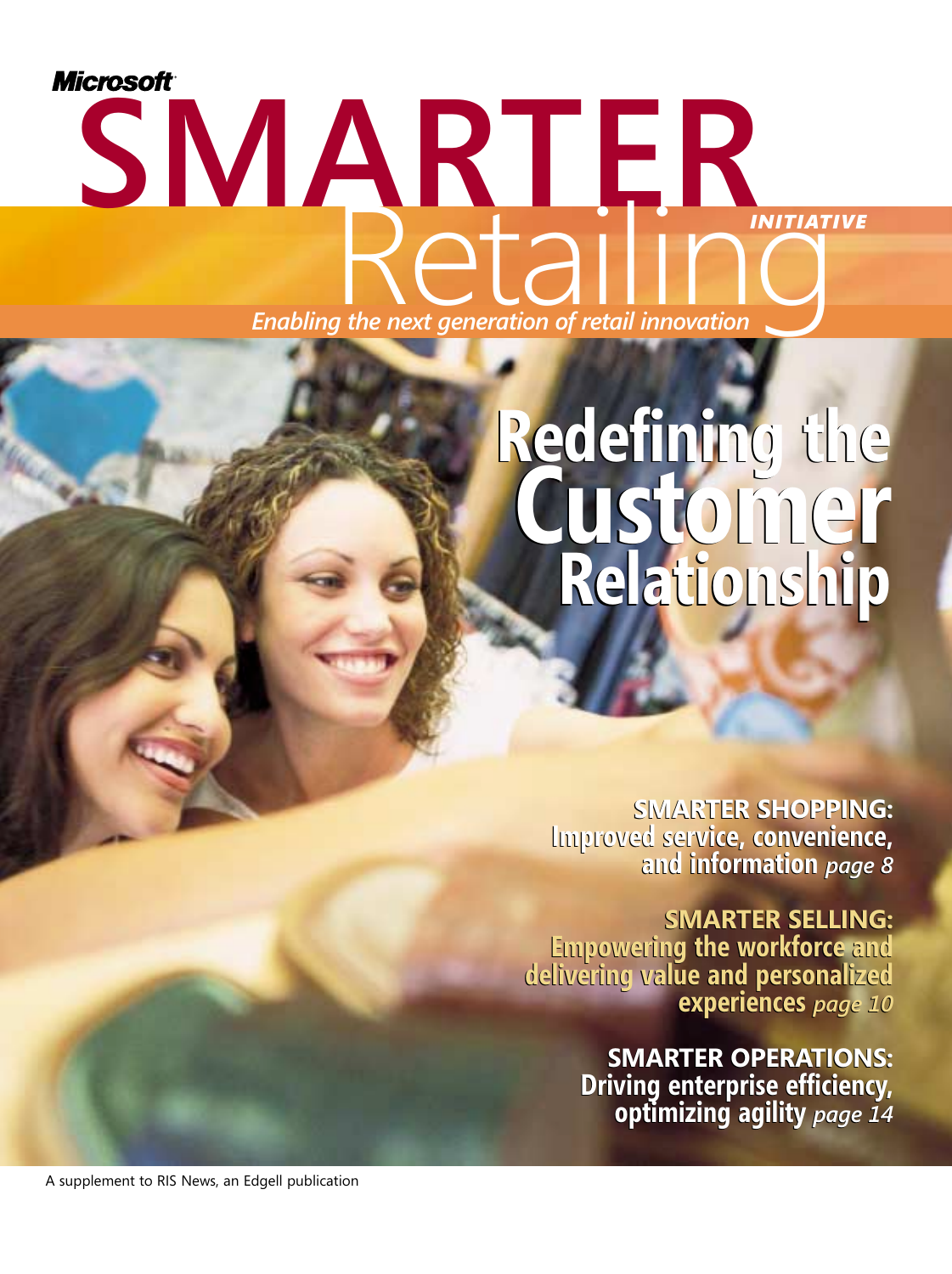# *Microsoft* **SMARTER Enabling the next generation of retail innovation** *INITIATIVE*

## **Redefining the Customer Relationship Redefining the Customer Relationship**

**SMARTER SHOPPING: SMARTER Improved service, convenience, and information** *page 8* **Improved service, convenience, and information** *page 8*

**SMARTER SELLING: SMARTER Empowering the workforce and delivering value and personalized experiences** *page 10* **Empowering the workforce and delivering value and personalized experiences** *page 10*

> **SMARTER OPERATIONS: SMARTER OPERATIONS: Driving enterprise efficiency, optimizing agility** *page 14*  **Driving enterprise efficiency, optimizing agility** *page 14*

A supplement to RIS News, an Edgell publication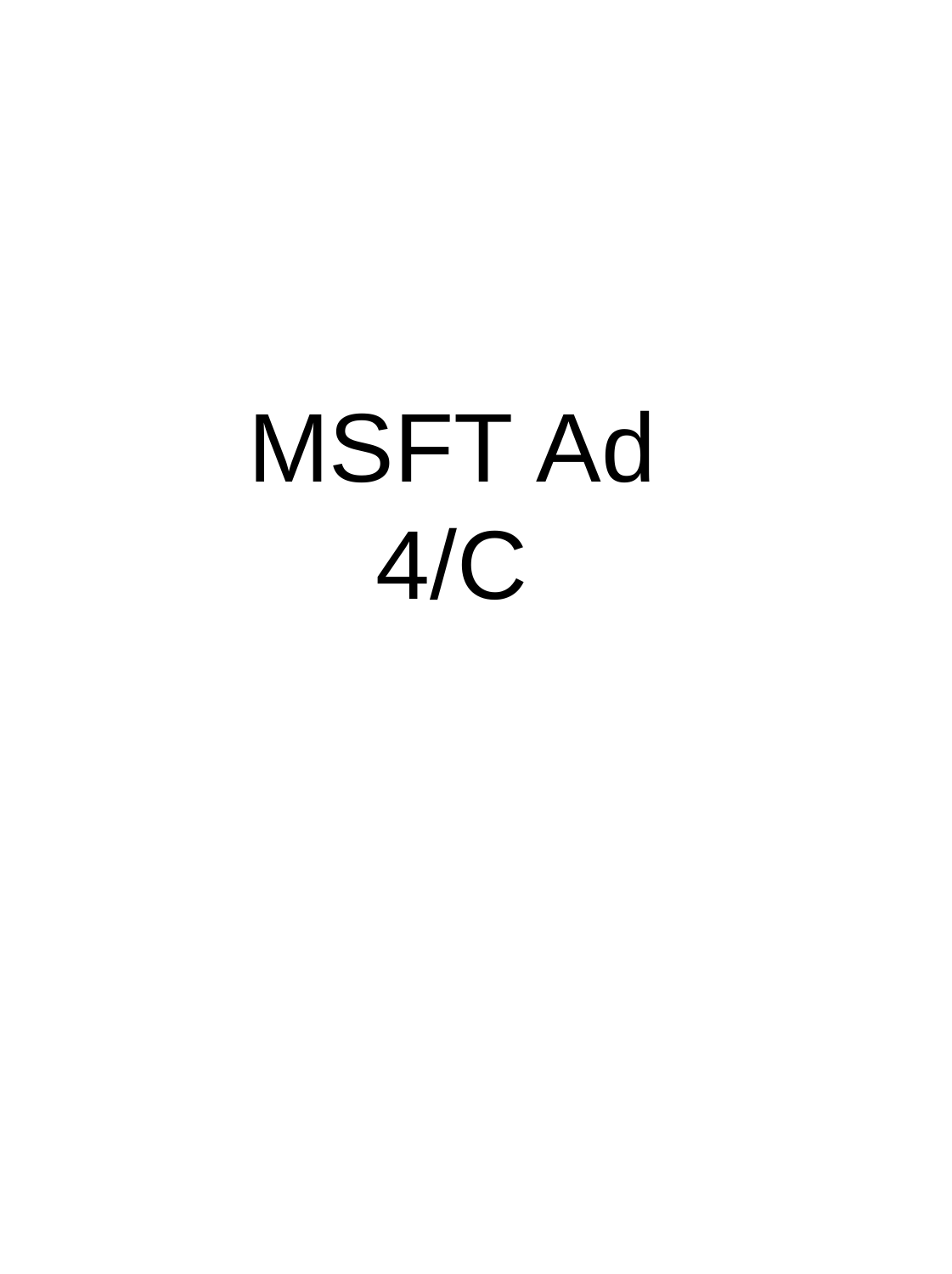# MSFT Ad 4/C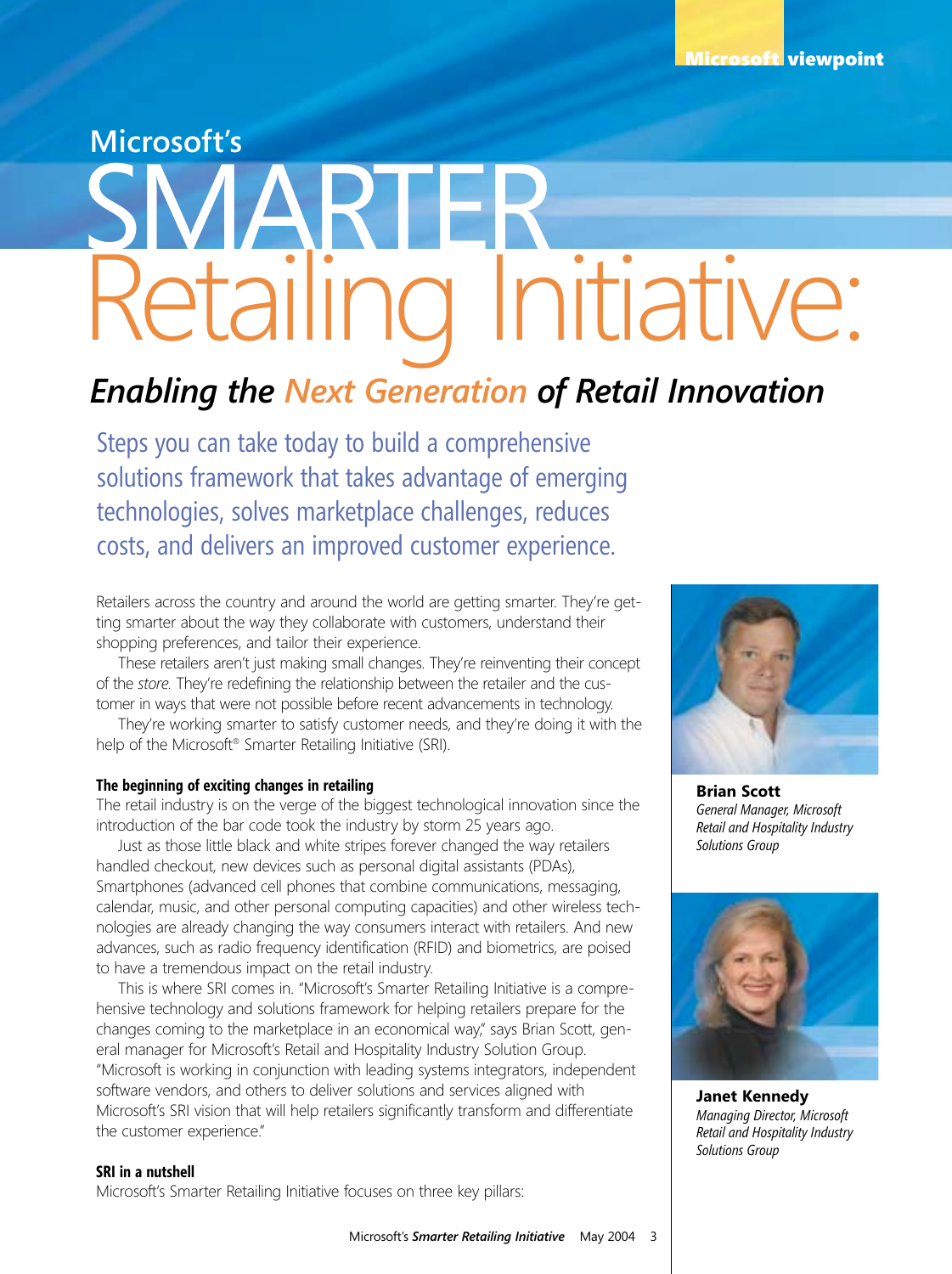### **Microsoft's**

# etailing Initiative:

# *Enabling the Next Generation of Retail Innovation*

Steps you can take today to build a comprehensive solutions framework that takes advantage of emerging technologies, solves marketplace challenges, reduces costs, and delivers an improved customer experience.

Retailers across the country and around the world are getting smarter. They're getting smarter about the way they collaborate with customers, understand their shopping preferences, and tailor their experience.

These retailers aren't just making small changes. They're reinventing their concept of the *store.* They're redefining the relationship between the retailer and the customer in ways that were not possible before recent advancements in technology.

They're working smarter to satisfy customer needs, and they're doing it with the help of the Microsoft® Smarter Retailing Initiative (SRI).

#### **The beginning of exciting changes in retailing**

The retail industry is on the verge of the biggest technological innovation since the introduction of the bar code took the industry by storm 25 years ago.

Just as those little black and white stripes forever changed the way retailers handled checkout, new devices such as personal digital assistants (PDAs), Smartphones (advanced cell phones that combine communications, messaging, calendar, music, and other personal computing capacities) and other wireless technologies are already changing the way consumers interact with retailers. And new advances, such as radio frequency identification (RFID) and biometrics, are poised to have a tremendous impact on the retail industry.

This is where SRI comes in. "Microsoft's Smarter Retailing Initiative is a comprehensive technology and solutions framework for helping retailers prepare for the changes coming to the marketplace in an economical way," says Brian Scott, general manager for Microsoft's Retail and Hospitality Industry Solution Group. "Microsoft is working in conjunction with leading systems integrators, independent software vendors, and others to deliver solutions and services aligned with Microsoft's SRI vision that will help retailers significantly transform and differentiate the customer experience."

#### **SRI in a nutshell**

Microsoft's Smarter Retailing Initiative focuses on three key pillars:



**Brian Scott** *General Manager, Microsoft Retail and Hospitality Industry Solutions Group*



**Janet Kennedy** *Managing Director, Microsoft Retail and Hospitality Industry Solutions Group*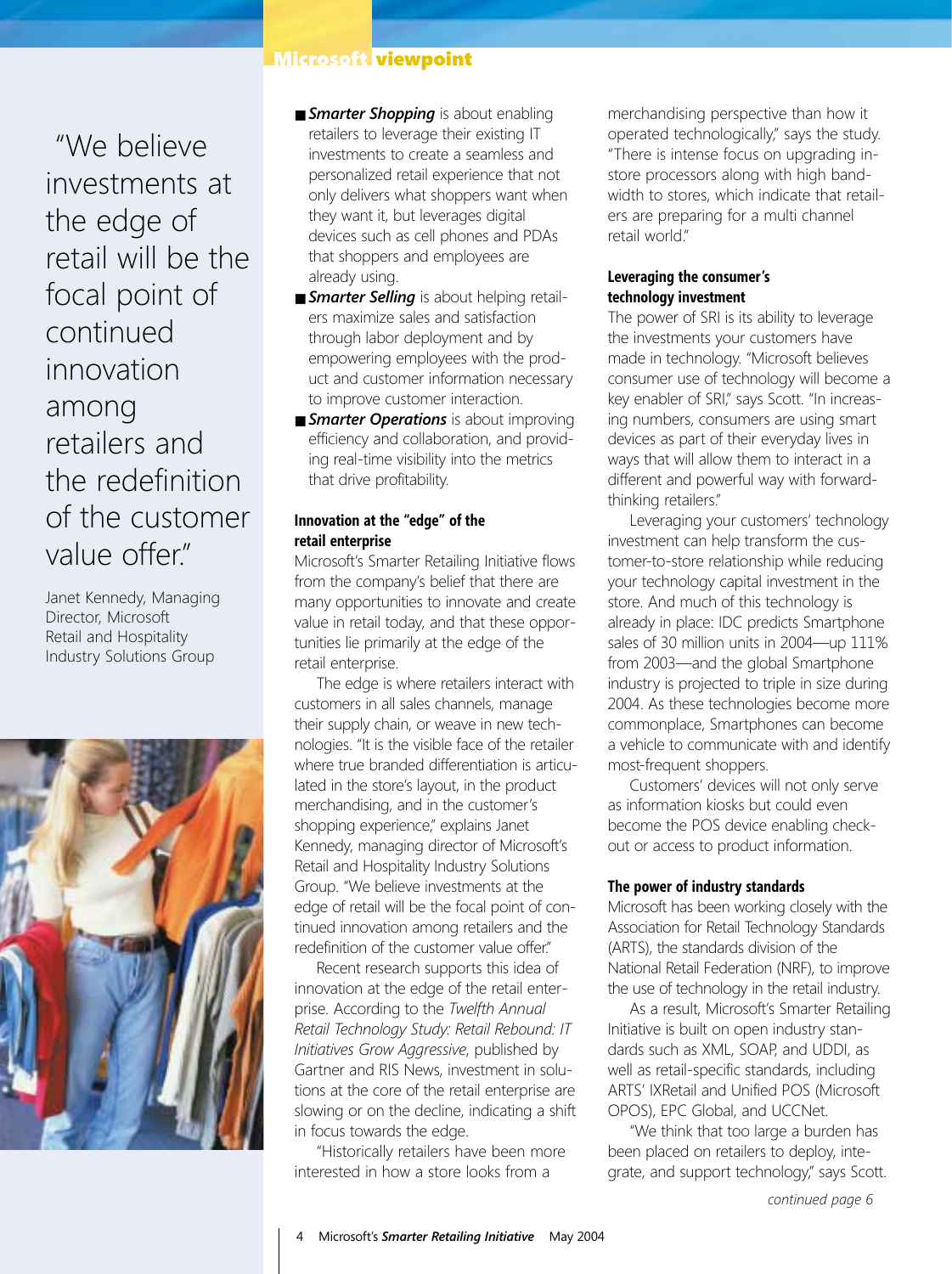"We believe investments at the edge of retail will be the focal point of continued innovation among retailers and the redefinition of the customer value offer"

Janet Kennedy, Managing Director, Microsoft Retail and Hospitality Industry Solutions Group



#### Microsoft viewpoint

- **Example 5 Smarter Shopping** is about enabling retailers to leverage their existing IT investments to create a seamless and personalized retail experience that not only delivers what shoppers want when they want it, but leverages digital devices such as cell phones and PDAs that shoppers and employees are already using.
- *Smarter Selling* is about helping retailers maximize sales and satisfaction through labor deployment and by empowering employees with the product and customer information necessary to improve customer interaction.
- *Smarter Operations* is about improving efficiency and collaboration, and providing real-time visibility into the metrics that drive profitability.

#### **Innovation at the "edge" of the retail enterprise**

Microsoft's Smarter Retailing Initiative flows from the company's belief that there are many opportunities to innovate and create value in retail today, and that these opportunities lie primarily at the edge of the retail enterprise.

The edge is where retailers interact with customers in all sales channels, manage their supply chain, or weave in new technologies. "It is the visible face of the retailer where true branded differentiation is articulated in the store's layout, in the product merchandising, and in the customer's shopping experience," explains Janet Kennedy, managing director of Microsoft's Retail and Hospitality Industry Solutions Group. "We believe investments at the edge of retail will be the focal point of continued innovation among retailers and the redefinition of the customer value offer."

Recent research supports this idea of innovation at the edge of the retail enterprise. According to the *Twelfth Annual Retail Technology Study: Retail Rebound: IT Initiatives Grow Aggressive*, published by Gartner and RIS News, investment in solutions at the core of the retail enterprise are slowing or on the decline, indicating a shift in focus towards the edge.

"Historically retailers have been more interested in how a store looks from a

merchandising perspective than how it operated technologically," says the study. "There is intense focus on upgrading instore processors along with high bandwidth to stores, which indicate that retailers are preparing for a multi channel retail world"

#### **Leveraging the consumer's technology investment**

The power of SRI is its ability to leverage the investments your customers have made in technology. "Microsoft believes consumer use of technology will become a key enabler of SRI" says Scott. "In increasing numbers, consumers are using smart devices as part of their everyday lives in ways that will allow them to interact in a different and powerful way with forwardthinking retailers."

Leveraging your customers' technology investment can help transform the customer-to-store relationship while reducing your technology capital investment in the store. And much of this technology is already in place: IDC predicts Smartphone sales of 30 million units in 2004—up 111% from 2003—and the global Smartphone industry is projected to triple in size during 2004. As these technologies become more commonplace, Smartphones can become a vehicle to communicate with and identify most-frequent shoppers.

Customers' devices will not only serve as information kiosks but could even become the POS device enabling checkout or access to product information.

#### **The power of industry standards**

Microsoft has been working closely with the Association for Retail Technology Standards (ARTS), the standards division of the National Retail Federation (NRF), to improve the use of technology in the retail industry.

As a result, Microsoft's Smarter Retailing Initiative is built on open industry standards such as XML, SOAP, and UDDI, as well as retail-specific standards, including ARTS' IXRetail and Unified POS (Microsoft OPOS), EPC Global, and UCCNet.

"We think that too large a burden has been placed on retailers to deploy, integrate, and support technology," says Scott.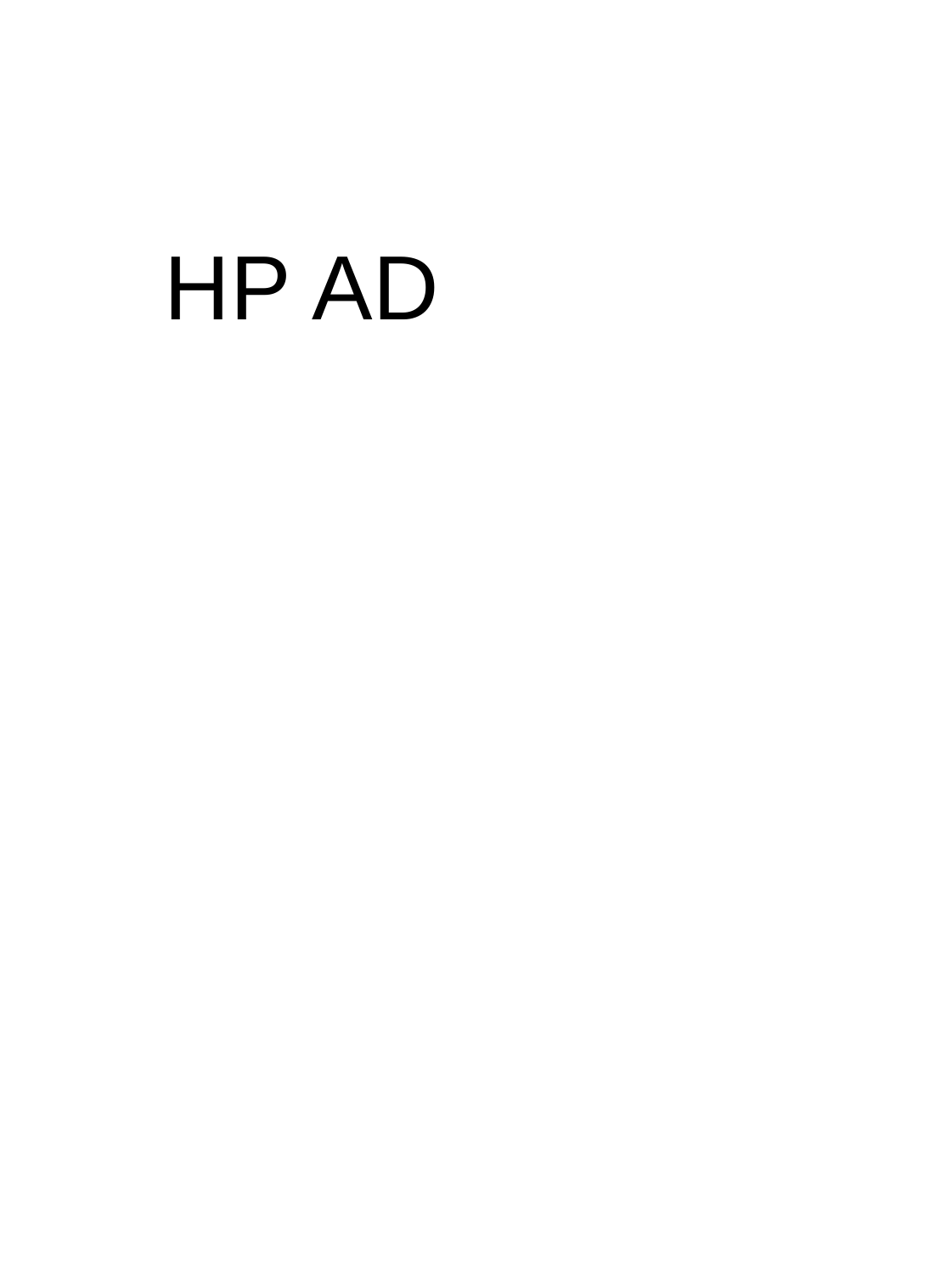# HP AD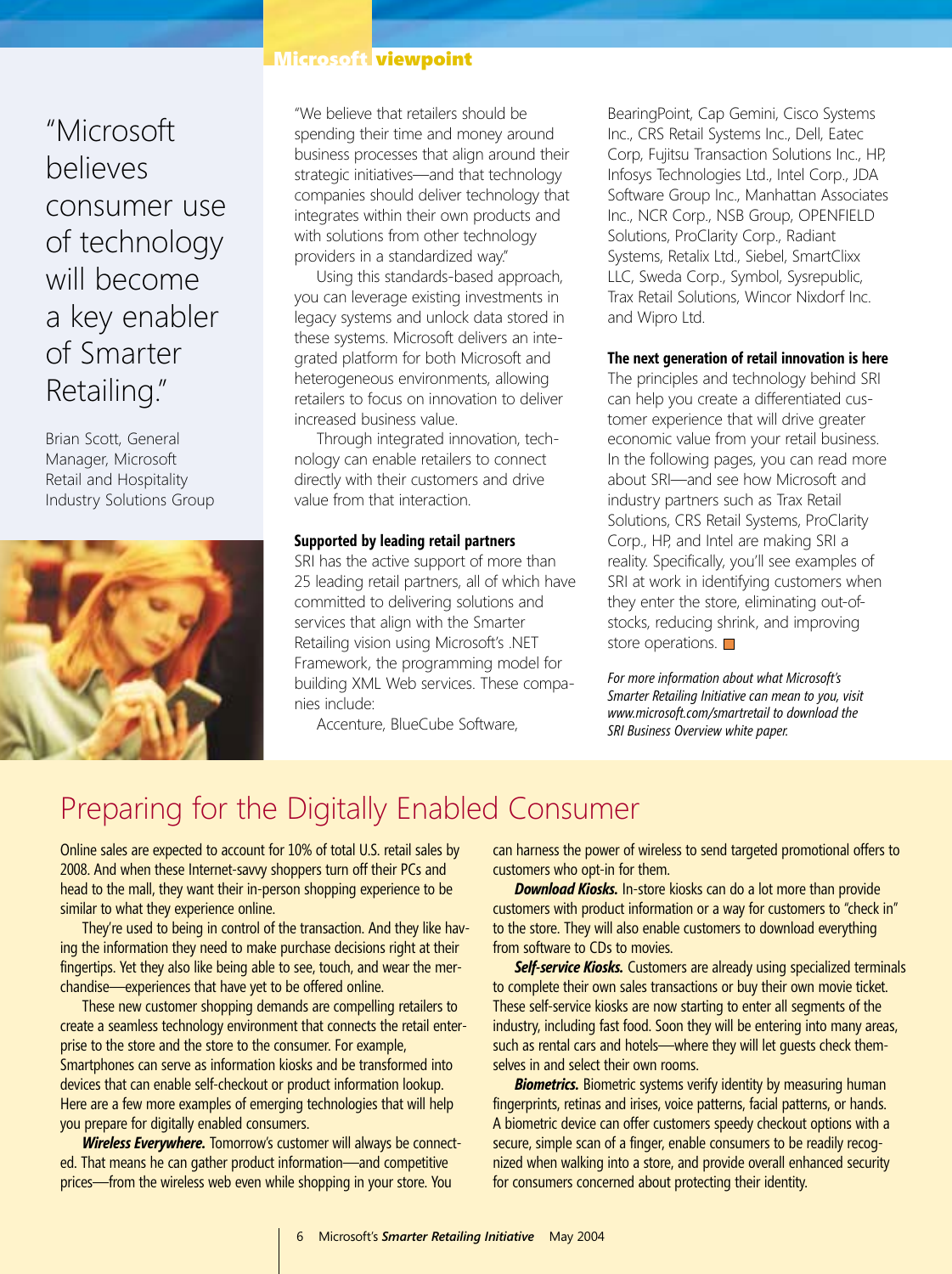"Microsoft believes consumer use of technology will become a key enabler of Smarter Retailing."

Brian Scott, General Manager, Microsoft Retail and Hospitality Industry Solutions Group



#### Microsoft viewpoint

"We believe that retailers should be spending their time and money around business processes that align around their strategic initiatives—and that technology companies should deliver technology that integrates within their own products and with solutions from other technology providers in a standardized way."

Using this standards-based approach, you can leverage existing investments in legacy systems and unlock data stored in these systems. Microsoft delivers an integrated platform for both Microsoft and heterogeneous environments, allowing retailers to focus on innovation to deliver increased business value.

Through integrated innovation, technology can enable retailers to connect directly with their customers and drive value from that interaction.

#### **Supported by leading retail partners**

SRI has the active support of more than 25 leading retail partners, all of which have committed to delivering solutions and services that align with the Smarter Retailing vision using Microsoft's .NET Framework, the programming model for building XML Web services. These companies include:

Accenture, BlueCube Software,

BearingPoint, Cap Gemini, Cisco Systems Inc., CRS Retail Systems Inc., Dell, Eatec Corp, Fujitsu Transaction Solutions Inc., HP, Infosys Technologies Ltd., Intel Corp., JDA Software Group Inc., Manhattan Associates Inc., NCR Corp., NSB Group, OPENFIELD Solutions, ProClarity Corp., Radiant Systems, Retalix Ltd., Siebel, SmartClixx LLC, Sweda Corp., Symbol, Sysrepublic, Trax Retail Solutions, Wincor Nixdorf Inc. and Wipro Ltd.

#### **The next generation of retail innovation is here**

The principles and technology behind SRI can help you create a differentiated customer experience that will drive greater economic value from your retail business. In the following pages, you can read more about SRI—and see how Microsoft and industry partners such as Trax Retail Solutions, CRS Retail Systems, ProClarity Corp., HP, and Intel are making SRI a reality. Specifically, you'll see examples of SRI at work in identifying customers when they enter the store, eliminating out-ofstocks, reducing shrink, and improving store operations.  $\square$ 

*For more information about what Microsoft's Smarter Retailing Initiative can mean to you, visit www.microsoft.com/smartretail to download the SRI Business Overview white paper.*

### Preparing for the Digitally Enabled Consumer

Online sales are expected to account for 10% of total U.S. retail sales by 2008. And when these Internet-savvy shoppers turn off their PCs and head to the mall, they want their in-person shopping experience to be similar to what they experience online.

They're used to being in control of the transaction. And they like having the information they need to make purchase decisions right at their fingertips. Yet they also like being able to see, touch, and wear the merchandise—experiences that have yet to be offered online.

These new customer shopping demands are compelling retailers to create a seamless technology environment that connects the retail enterprise to the store and the store to the consumer. For example, Smartphones can serve as information kiosks and be transformed into devices that can enable self-checkout or product information lookup. Here are a few more examples of emerging technologies that will help you prepare for digitally enabled consumers.

*Wireless Everywhere.* Tomorrow's customer will always be connected. That means he can gather product information—and competitive prices—from the wireless web even while shopping in your store. You

can harness the power of wireless to send targeted promotional offers to customers who opt-in for them.

*Download Kiosks.* In-store kiosks can do a lot more than provide customers with product information or a way for customers to "check in" to the store. They will also enable customers to download everything from software to CDs to movies.

**Self-service Kiosks.** Customers are already using specialized terminals to complete their own sales transactions or buy their own movie ticket. These self-service kiosks are now starting to enter all segments of the industry, including fast food. Soon they will be entering into many areas, such as rental cars and hotels—where they will let guests check themselves in and select their own rooms.

**Biometrics.** Biometric systems verify identity by measuring human fingerprints, retinas and irises, voice patterns, facial patterns, or hands. A biometric device can offer customers speedy checkout options with a secure, simple scan of a finger, enable consumers to be readily recognized when walking into a store, and provide overall enhanced security for consumers concerned about protecting their identity.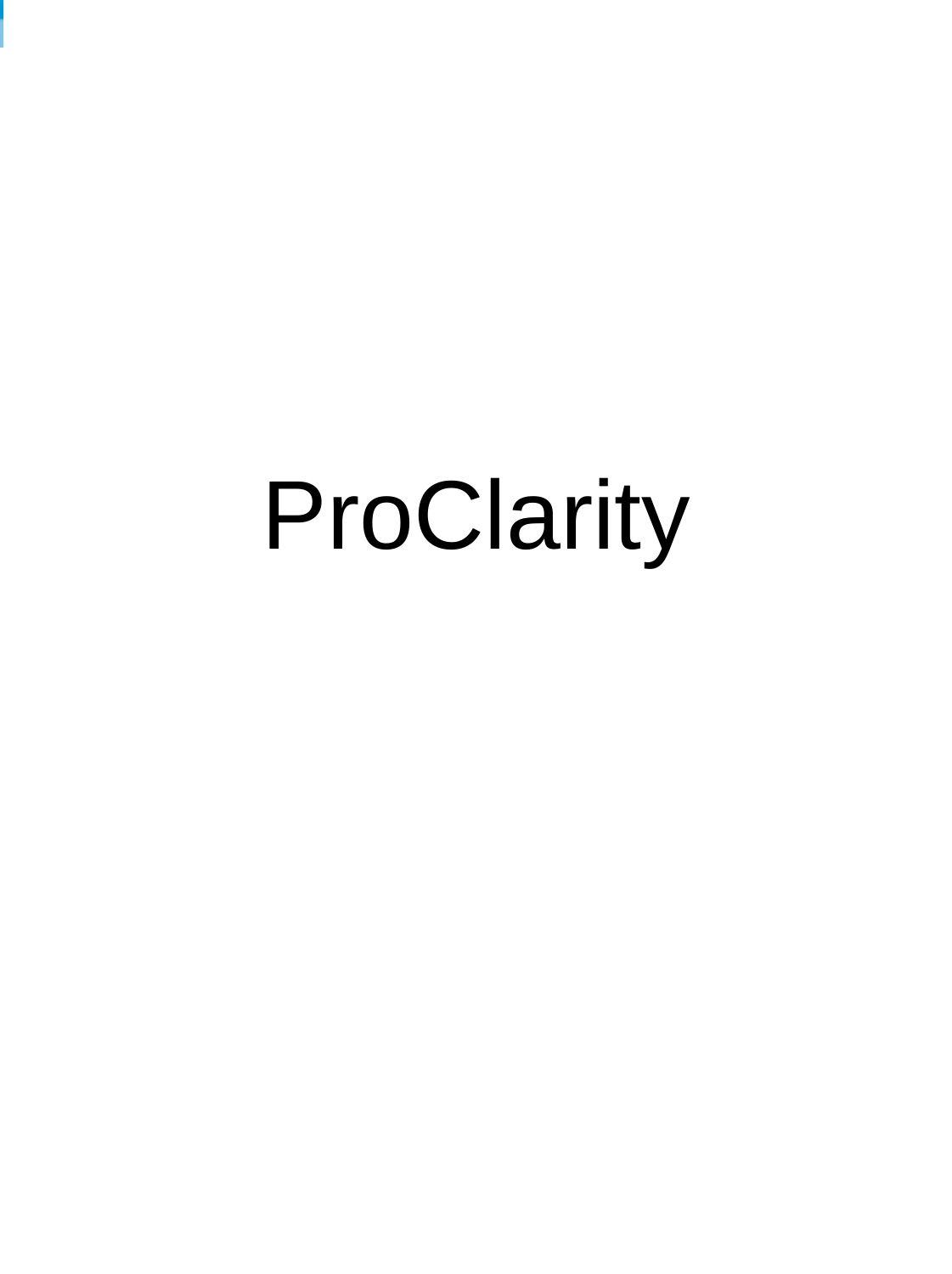# ProClarity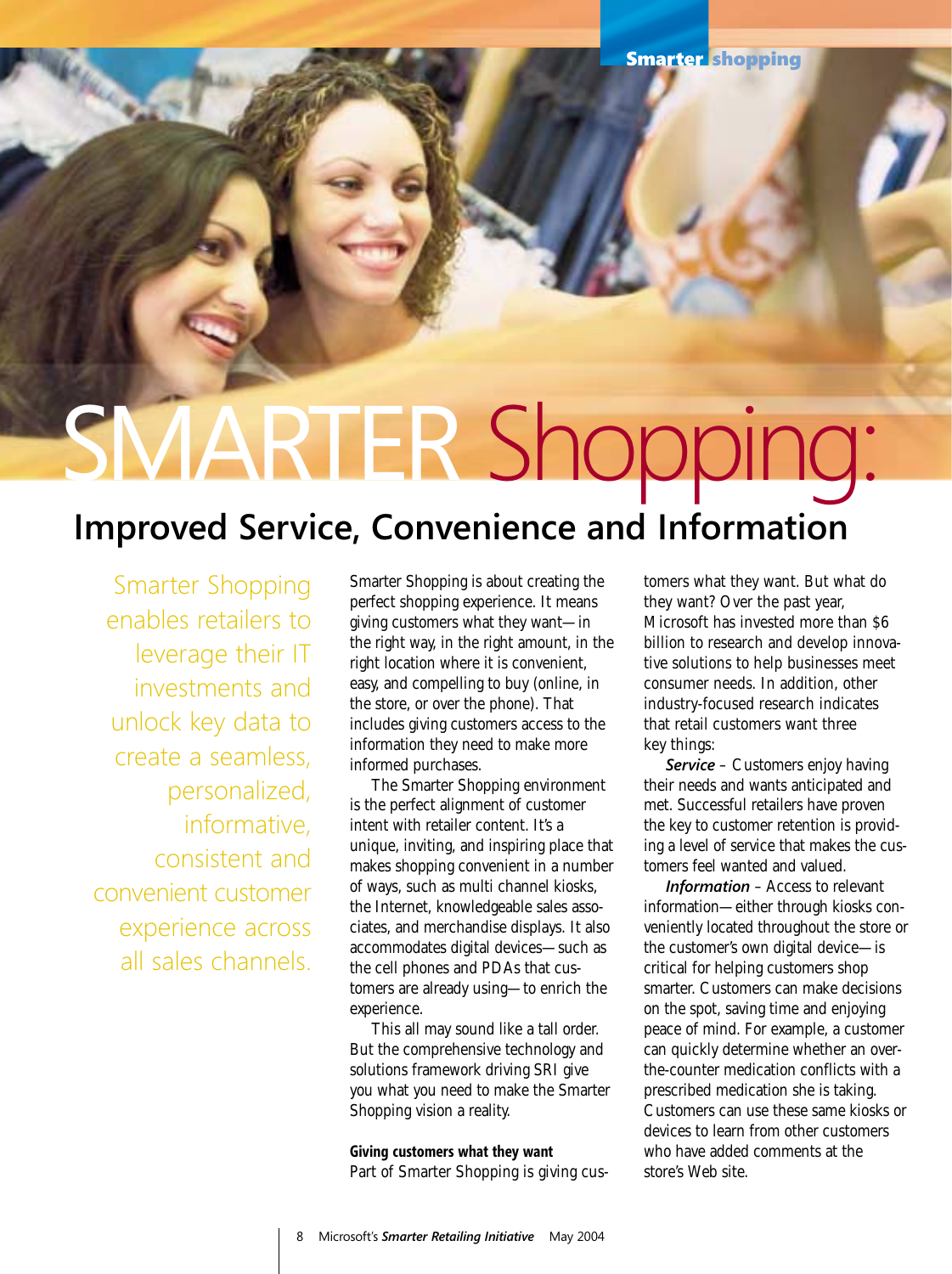# SMARTER Shopping:

# **Improved Service, Convenience and Information**

Smarter Shopping enables retailers to leverage their IT investments and unlock key data to create a seamless, personalized, informative, consistent and convenient customer experience across all sales channels.

Smarter Shopping is about creating the perfect shopping experience. It means giving customers what they want—in the right way, in the right amount, in the right location where it is convenient, easy, and compelling to buy (online, in the store, or over the phone). That includes giving customers access to the information they need to make more informed purchases.

The Smarter Shopping environment is the perfect alignment of customer intent with retailer content. It's a unique, inviting, and inspiring place that makes shopping convenient in a number of ways, such as multi channel kiosks, the Internet, knowledgeable sales associates, and merchandise displays. It also accommodates digital devices—such as the cell phones and PDAs that customers are already using—to enrich the experience.

This all may sound like a tall order. But the comprehensive technology and solutions framework driving SRI give you what you need to make the Smarter Shopping vision a reality.

#### **Giving customers what they want**

Part of Smarter Shopping is giving cus-

tomers what they want. But what do they want? Over the past year, Microsoft has invested more than \$6 billion to research and develop innovative solutions to help businesses meet consumer needs. In addition, other industry-focused research indicates that retail customers want three key things:

*Service* – Customers enjoy having their needs and wants anticipated and met. Successful retailers have proven the key to customer retention is providing a level of service that makes the customers feel wanted and valued.

*Information* – Access to relevant information—either through kiosks conveniently located throughout the store or the customer's own digital device—is critical for helping customers shop smarter. Customers can make decisions on the spot, saving time and enjoying peace of mind. For example, a customer can quickly determine whether an overthe-counter medication conflicts with a prescribed medication she is taking. Customers can use these same kiosks or devices to learn from other customers who have added comments at the store's Web site.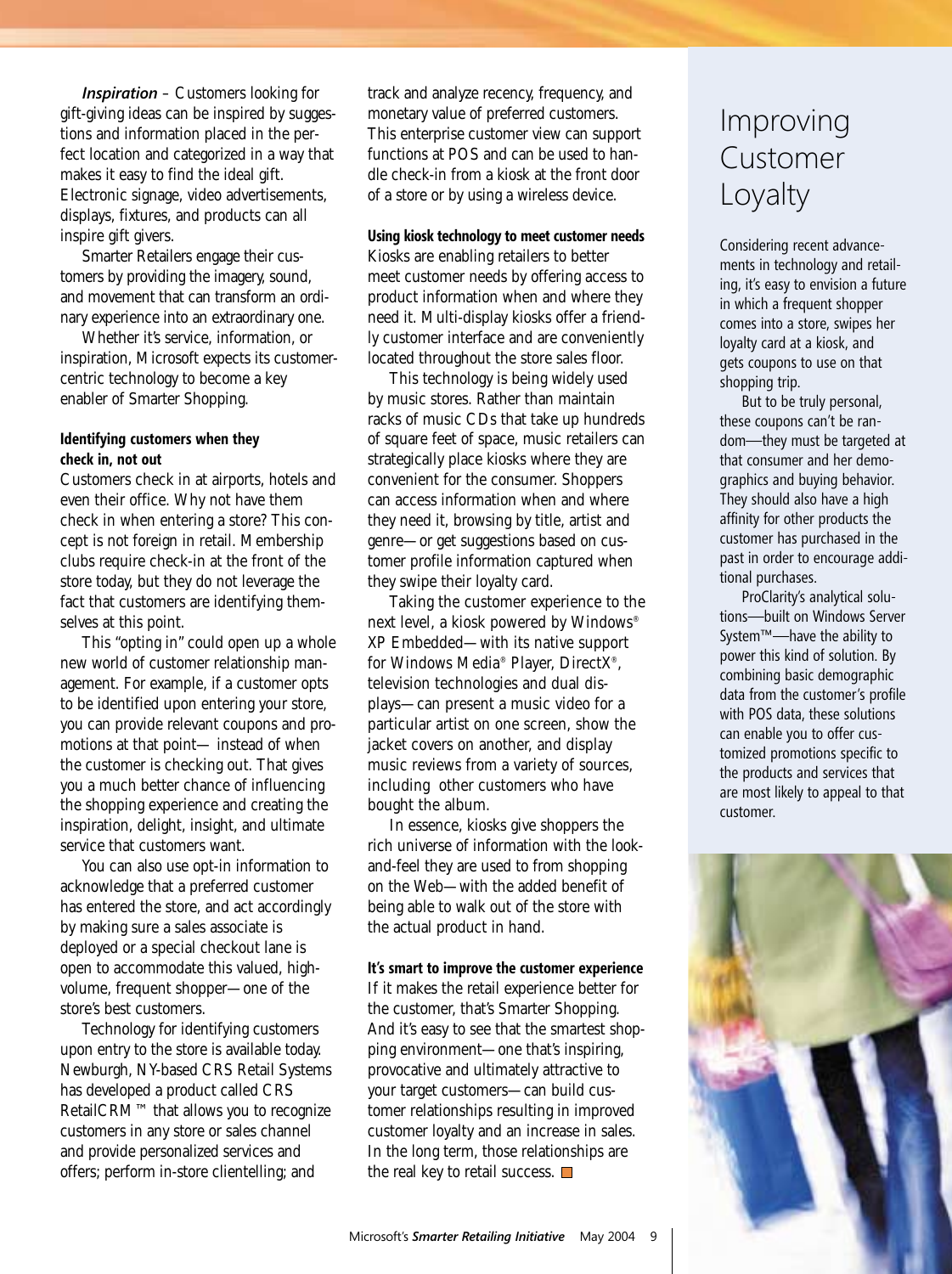*Inspiration* – Customers looking for gift-giving ideas can be inspired by suggestions and information placed in the perfect location and categorized in a way that makes it easy to find the ideal gift. Electronic signage, video advertisements, displays, fixtures, and products can all inspire gift givers.

Smarter Retailers engage their customers by providing the imagery, sound, and movement that can transform an ordinary experience into an extraordinary one.

Whether it's service, information, or inspiration, Microsoft expects its customercentric technology to become a key enabler of Smarter Shopping.

#### **Identifying customers when they check in, not out**

Customers check in at airports, hotels and even their office. Why not have them check in when entering a store? This concept is not foreign in retail. Membership clubs require check-in at the front of the store today, but they do not leverage the fact that customers are identifying themselves at this point.

This "opting in" could open up a whole new world of customer relationship management. For example, if a customer opts to be identified upon entering your store, you can provide relevant coupons and promotions at that point— instead of when the customer is checking out. That gives you a much better chance of influencing the shopping experience and creating the inspiration, delight, insight, and ultimate service that customers want.

You can also use opt-in information to acknowledge that a preferred customer has entered the store, and act accordingly by making sure a sales associate is deployed or a special checkout lane is open to accommodate this valued, highvolume, frequent shopper—one of the store's best customers.

Technology for identifying customers upon entry to the store is available today. Newburgh, NY-based CRS Retail Systems has developed a product called CRS RetailCRM™ that allows you to recognize customers in any store or sales channel and provide personalized services and offers; perform in-store clientelling; and

track and analyze recency, frequency, and monetary value of preferred customers. This enterprise customer view can support functions at POS and can be used to handle check-in from a kiosk at the front door of a store or by using a wireless device.

#### **Using kiosk technology to meet customer needs**

Kiosks are enabling retailers to better meet customer needs by offering access to product information when and where they need it. Multi-display kiosks offer a friendly customer interface and are conveniently located throughout the store sales floor.

This technology is being widely used by music stores. Rather than maintain racks of music CDs that take up hundreds of square feet of space, music retailers can strategically place kiosks where they are convenient for the consumer. Shoppers can access information when and where they need it, browsing by title, artist and genre—or get suggestions based on customer profile information captured when they swipe their loyalty card.

Taking the customer experience to the next level, a kiosk powered by Windows® XP Embedded—with its native support for Windows Media® Player, DirectX®, television technologies and dual displays—can present a music video for a particular artist on one screen, show the jacket covers on another, and display music reviews from a variety of sources, including other customers who have bought the album.

In essence, kiosks give shoppers the rich universe of information with the lookand-feel they are used to from shopping on the Web—with the added benefit of being able to walk out of the store with the actual product in hand.

#### **It's smart to improve the customer experience**

If it makes the retail experience better for the customer, that's Smarter Shopping. And it's easy to see that the smartest shopping environment—one that's inspiring, provocative and ultimately attractive to your target customers—can build customer relationships resulting in improved customer loyalty and an increase in sales. In the long term, those relationships are the real key to retail success.  $\Box$ 

### Improving Customer Loyalty

Considering recent advancements in technology and retailing, it's easy to envision a future in which a frequent shopper comes into a store, swipes her loyalty card at a kiosk, and gets coupons to use on that shopping trip.

But to be truly personal, these coupons can't be random—they must be targeted at that consumer and her demographics and buying behavior. They should also have a high affinity for other products the customer has purchased in the past in order to encourage additional purchases.

ProClarity's analytical solutions—built on Windows Server System™—have the ability to power this kind of solution. By combining basic demographic data from the customer's profile with POS data, these solutions can enable you to offer customized promotions specific to the products and services that are most likely to appeal to that customer.

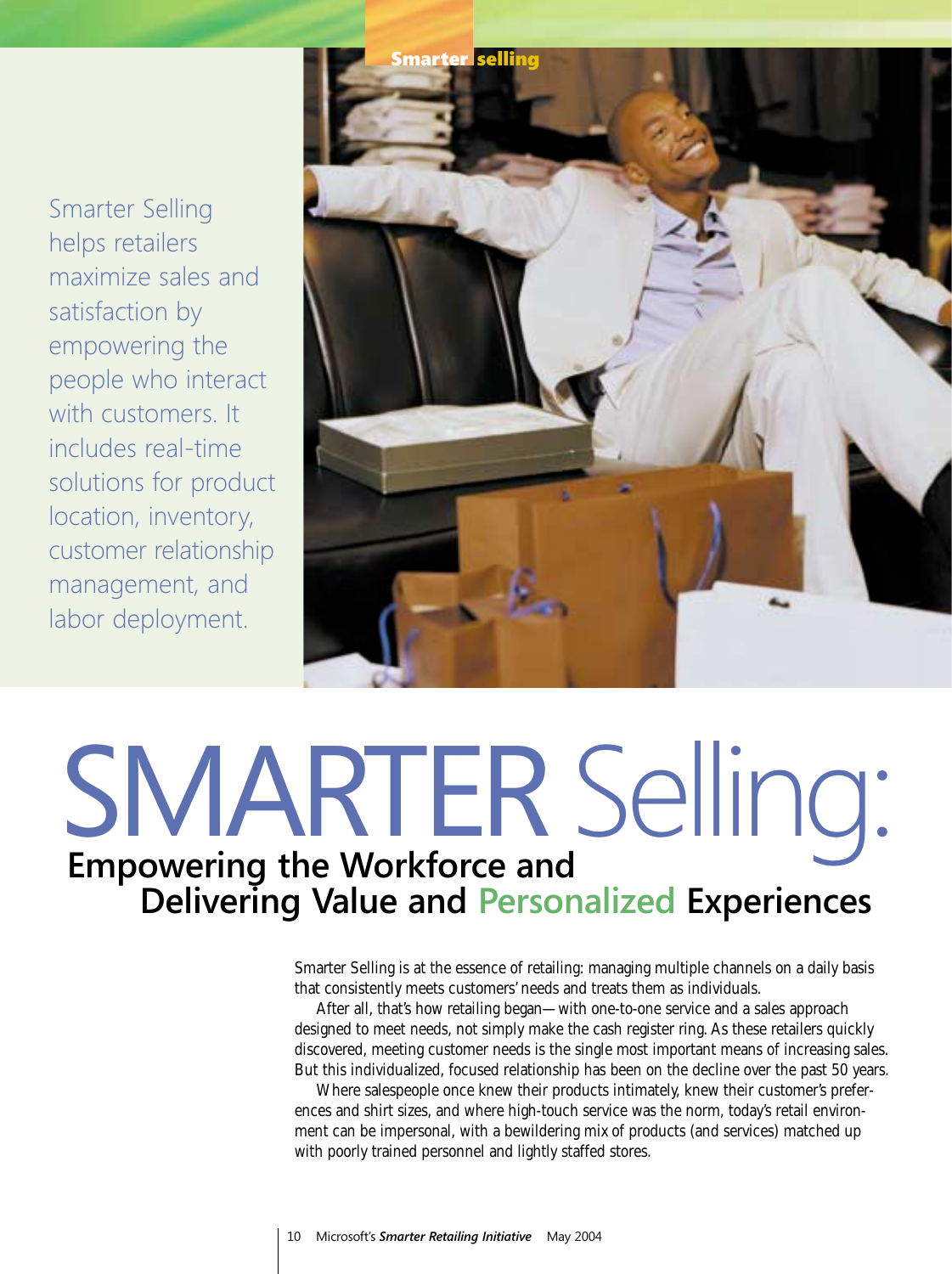Smarter Selling helps retailers maximize sales and satisfaction by empowering the people who interact with customers. It includes real-time solutions for product location, inventory, customer relationship management, and labor deployment.



# SMARTER Selling: **Empowering the Workforce and Delivering Value and Personalized Experiences**

Smarter Selling is at the essence of retailing: managing multiple channels on a daily basis that consistently meets customers' needs and treats them as individuals.

After all, that's how retailing began—with one-to-one service and a sales approach designed to meet needs, not simply make the cash register ring. As these retailers quickly discovered, meeting customer needs is the single most important means of increasing sales. But this individualized, focused relationship has been on the decline over the past 50 years.

Where salespeople once knew their products intimately, knew their customer's preferences and shirt sizes, and where high-touch service was the norm, today's retail environment can be impersonal, with a bewildering mix of products (and services) matched up with poorly trained personnel and lightly staffed stores.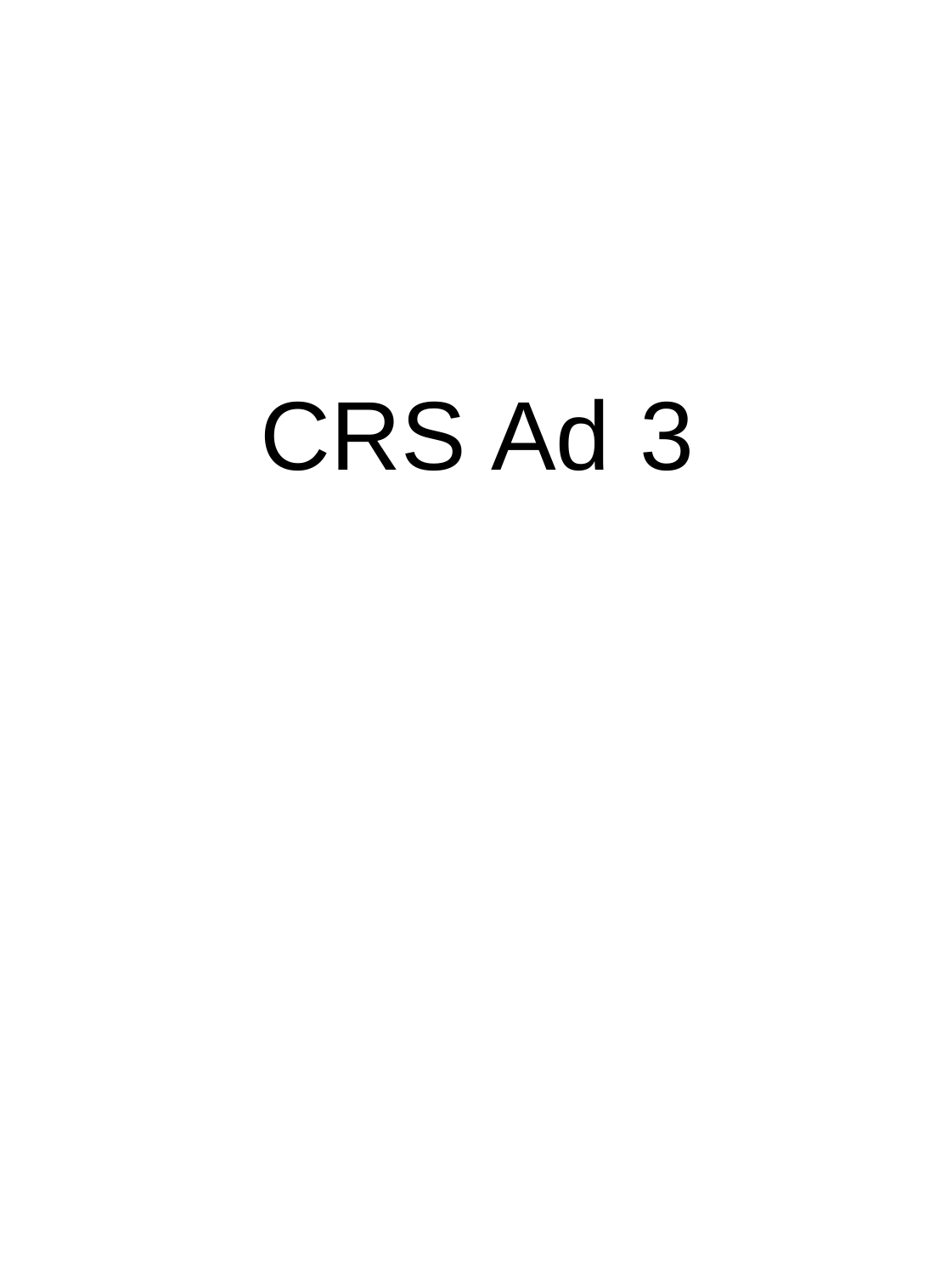# CRS Ad 3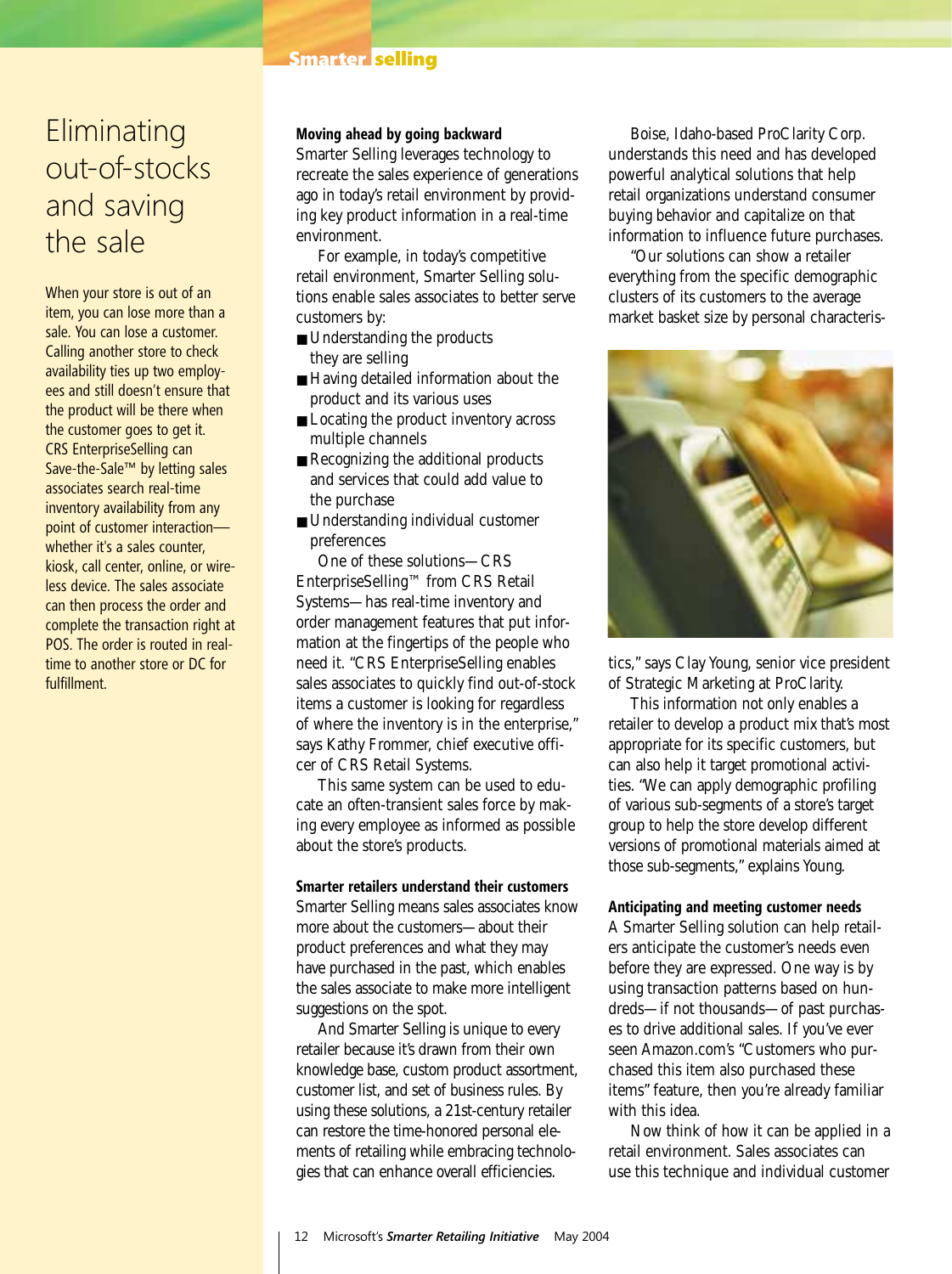#### **Smarter selling**

### **Eliminating** out-of-stocks and saving the sale

When your store is out of an item, you can lose more than a sale. You can lose a customer. Calling another store to check availability ties up two employees and still doesn't ensure that the product will be there when the customer goes to get it. CRS EnterpriseSelling can Save-the-Sale™ by letting sales associates search real-time inventory availability from any point of customer interaction whether it's a sales counter, kiosk, call center, online, or wireless device. The sales associate can then process the order and complete the transaction right at POS. The order is routed in realtime to another store or DC for fulfillment.

#### **Moving ahead by going backward**

Smarter Selling leverages technology to recreate the sales experience of generations ago in today's retail environment by providing key product information in a real-time environment.

For example, in today's competitive retail environment, Smarter Selling solutions enable sales associates to better serve customers by:

- Understanding the products they are selling
- Having detailed information about the product and its various uses
- Locating the product inventory across multiple channels
- Recognizing the additional products and services that could add value to the purchase
- Understanding individual customer preferences

One of these solutions—CRS EnterpriseSelling™ from CRS Retail Systems—has real-time inventory and order management features that put information at the fingertips of the people who need it. "CRS EnterpriseSelling enables sales associates to quickly find out-of-stock items a customer is looking for regardless of where the inventory is in the enterprise," says Kathy Frommer, chief executive officer of CRS Retail Systems.

This same system can be used to educate an often-transient sales force by making every employee as informed as possible about the store's products.

#### **Smarter retailers understand their customers**

Smarter Selling means sales associates know more about the customers—about their product preferences and what they may have purchased in the past, which enables the sales associate to make more intelligent suggestions on the spot.

And Smarter Selling is unique to every retailer because it's drawn from their own knowledge base, custom product assortment, customer list, and set of business rules. By using these solutions, a 21st-century retailer can restore the time-honored personal elements of retailing while embracing technologies that can enhance overall efficiencies.

Boise, Idaho-based ProClarity Corp. understands this need and has developed powerful analytical solutions that help retail organizations understand consumer buying behavior and capitalize on that information to influence future purchases.

"Our solutions can show a retailer everything from the specific demographic clusters of its customers to the average market basket size by personal characteris-



tics," says Clay Young, senior vice president of Strategic Marketing at ProClarity.

This information not only enables a retailer to develop a product mix that's most appropriate for its specific customers, but can also help it target promotional activities. "We can apply demographic profiling of various sub-segments of a store's target group to help the store develop different versions of promotional materials aimed at those sub-segments," explains Young.

#### **Anticipating and meeting customer needs**

A Smarter Selling solution can help retailers anticipate the customer's needs even before they are expressed. One way is by using transaction patterns based on hundreds—if not thousands—of past purchases to drive additional sales. If you've ever seen Amazon.com's "Customers who purchased this item also purchased these items" feature, then you're already familiar with this idea.

Now think of how it can be applied in a retail environment. Sales associates can use this technique and individual customer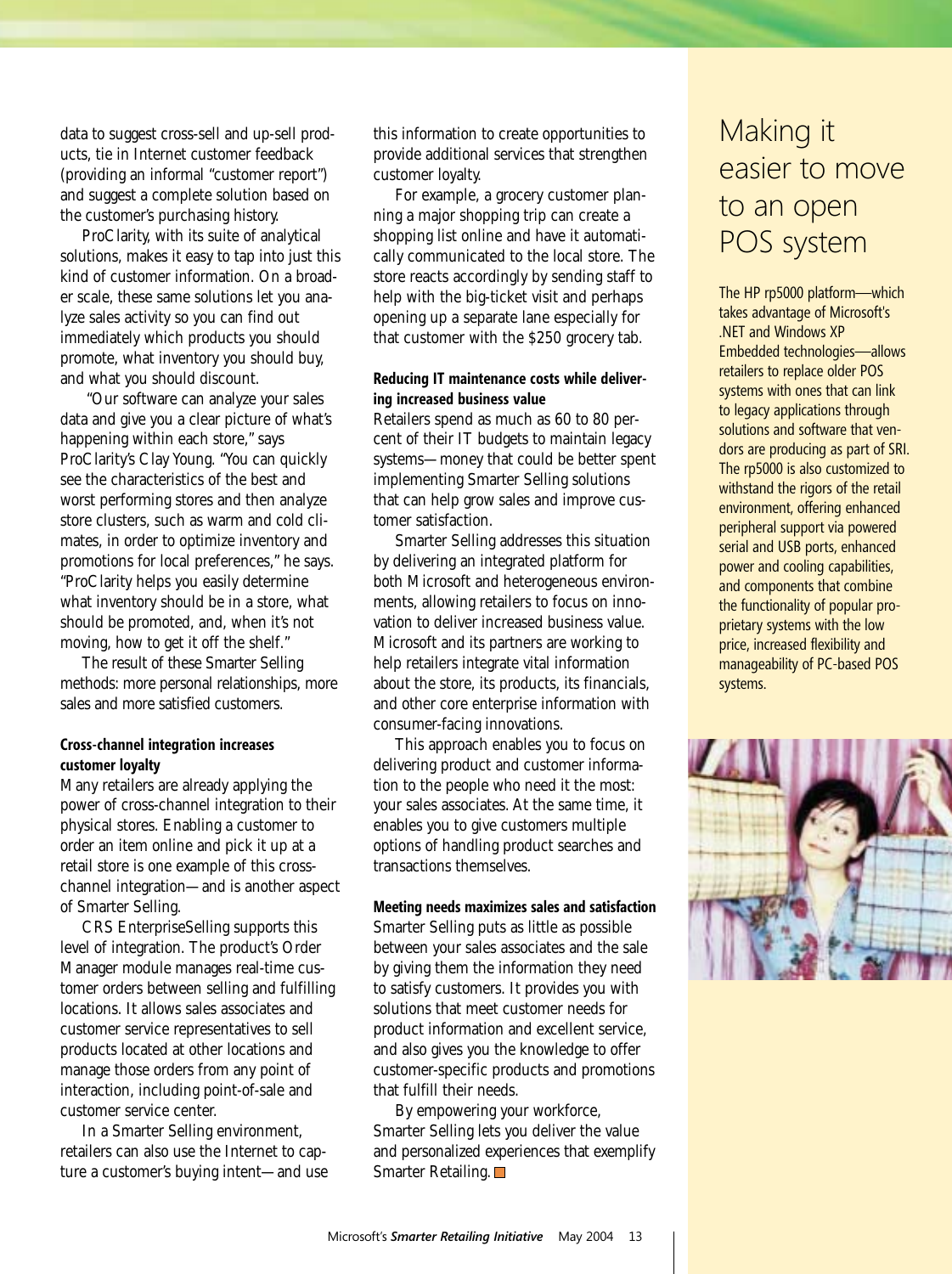data to suggest cross-sell and up-sell products, tie in Internet customer feedback (providing an informal "customer report") and suggest a complete solution based on the customer's purchasing history.

ProClarity, with its suite of analytical solutions, makes it easy to tap into just this kind of customer information. On a broader scale, these same solutions let you analyze sales activity so you can find out immediately which products you should promote, what inventory you should buy, and what you should discount.

"Our software can analyze your sales data and give you a clear picture of what's happening within each store," says ProClarity's Clay Young. "You can quickly see the characteristics of the best and worst performing stores and then analyze store clusters, such as warm and cold climates, in order to optimize inventory and promotions for local preferences," he says. "ProClarity helps you easily determine what inventory should be in a store, what should be promoted, and, when it's not moving, how to get it off the shelf."

The result of these Smarter Selling methods: more personal relationships, more sales and more satisfied customers.

#### **Cross-channel integration increases customer loyalty**

Many retailers are already applying the power of cross-channel integration to their physical stores. Enabling a customer to order an item online and pick it up at a retail store is one example of this crosschannel integration—and is another aspect of Smarter Selling.

CRS EnterpriseSelling supports this level of integration. The product's Order Manager module manages real-time customer orders between selling and fulfilling locations. It allows sales associates and customer service representatives to sell products located at other locations and manage those orders from any point of interaction, including point-of-sale and customer service center.

In a Smarter Selling environment, retailers can also use the Internet to capture a customer's buying intent—and use this information to create opportunities to provide additional services that strengthen customer loyalty.

For example, a grocery customer planning a major shopping trip can create a shopping list online and have it automatically communicated to the local store. The store reacts accordingly by sending staff to help with the big-ticket visit and perhaps opening up a separate lane especially for that customer with the \$250 grocery tab.

#### **Reducing IT maintenance costs while delivering increased business value**

Retailers spend as much as 60 to 80 percent of their IT budgets to maintain legacy systems—money that could be better spent implementing Smarter Selling solutions that can help grow sales and improve customer satisfaction.

Smarter Selling addresses this situation by delivering an integrated platform for both Microsoft and heterogeneous environments, allowing retailers to focus on innovation to deliver increased business value. Microsoft and its partners are working to help retailers integrate vital information about the store, its products, its financials, and other core enterprise information with consumer-facing innovations.

This approach enables you to focus on delivering product and customer information to the people who need it the most: your sales associates. At the same time, it enables you to give customers multiple options of handling product searches and transactions themselves.

#### **Meeting needs maximizes sales and satisfaction**

Smarter Selling puts as little as possible between your sales associates and the sale by giving them the information they need to satisfy customers. It provides you with solutions that meet customer needs for product information and excellent service, and also gives you the knowledge to offer customer-specific products and promotions that fulfill their needs.

By empowering your workforce, Smarter Selling lets you deliver the value and personalized experiences that exemplify Smarter Retailing. □

### Making it easier to move to an open POS system

The HP rp5000 platform—which takes advantage of Microsoft's .NET and Windows XP Embedded technologies—allows retailers to replace older POS systems with ones that can link to legacy applications through solutions and software that vendors are producing as part of SRI. The rp5000 is also customized to withstand the rigors of the retail environment, offering enhanced peripheral support via powered serial and USB ports, enhanced power and cooling capabilities, and components that combine the functionality of popular proprietary systems with the low price, increased flexibility and manageability of PC-based POS systems.

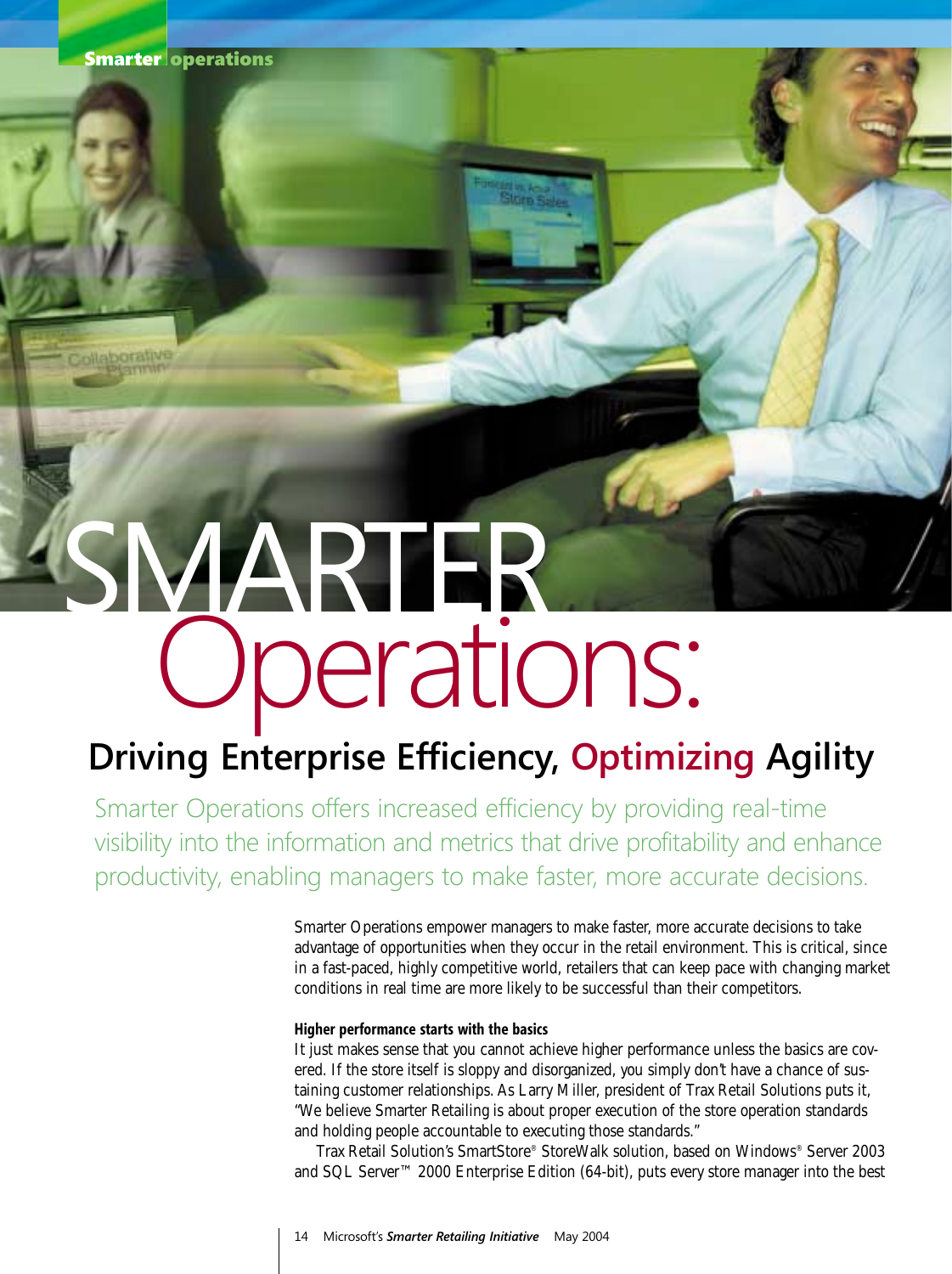# SMARTER Operations:

# **Driving Enterprise Efficiency, Optimizing Agility**

Smarter Operations offers increased efficiency by providing real-time visibility into the information and metrics that drive profitability and enhance productivity, enabling managers to make faster, more accurate decisions.

> Smarter Operations empower managers to make faster, more accurate decisions to take advantage of opportunities when they occur in the retail environment. This is critical, since in a fast-paced, highly competitive world, retailers that can keep pace with changing market conditions in real time are more likely to be successful than their competitors.

#### **Higher performance starts with the basics**

It just makes sense that you cannot achieve higher performance unless the basics are covered. If the store itself is sloppy and disorganized, you simply don't have a chance of sustaining customer relationships. As Larry Miller, president of Trax Retail Solutions puts it, "We believe Smarter Retailing is about proper execution of the store operation standards and holding people accountable to executing those standards."

Trax Retail Solution's SmartStore® StoreWalk solution, based on Windows® Server 2003 and SQL Server™ 2000 Enterprise Edition (64-bit), puts every store manager into the best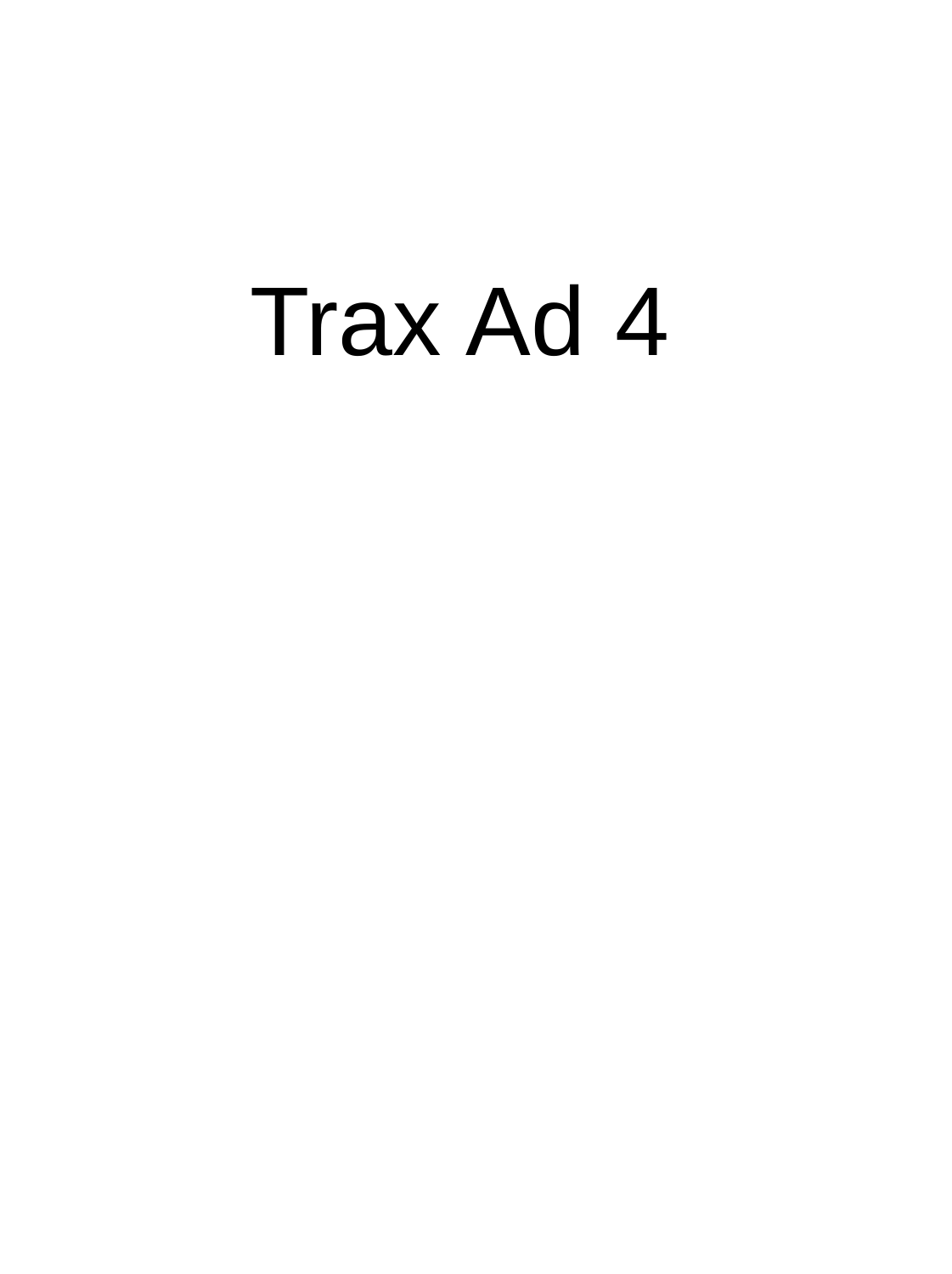# Trax Ad 4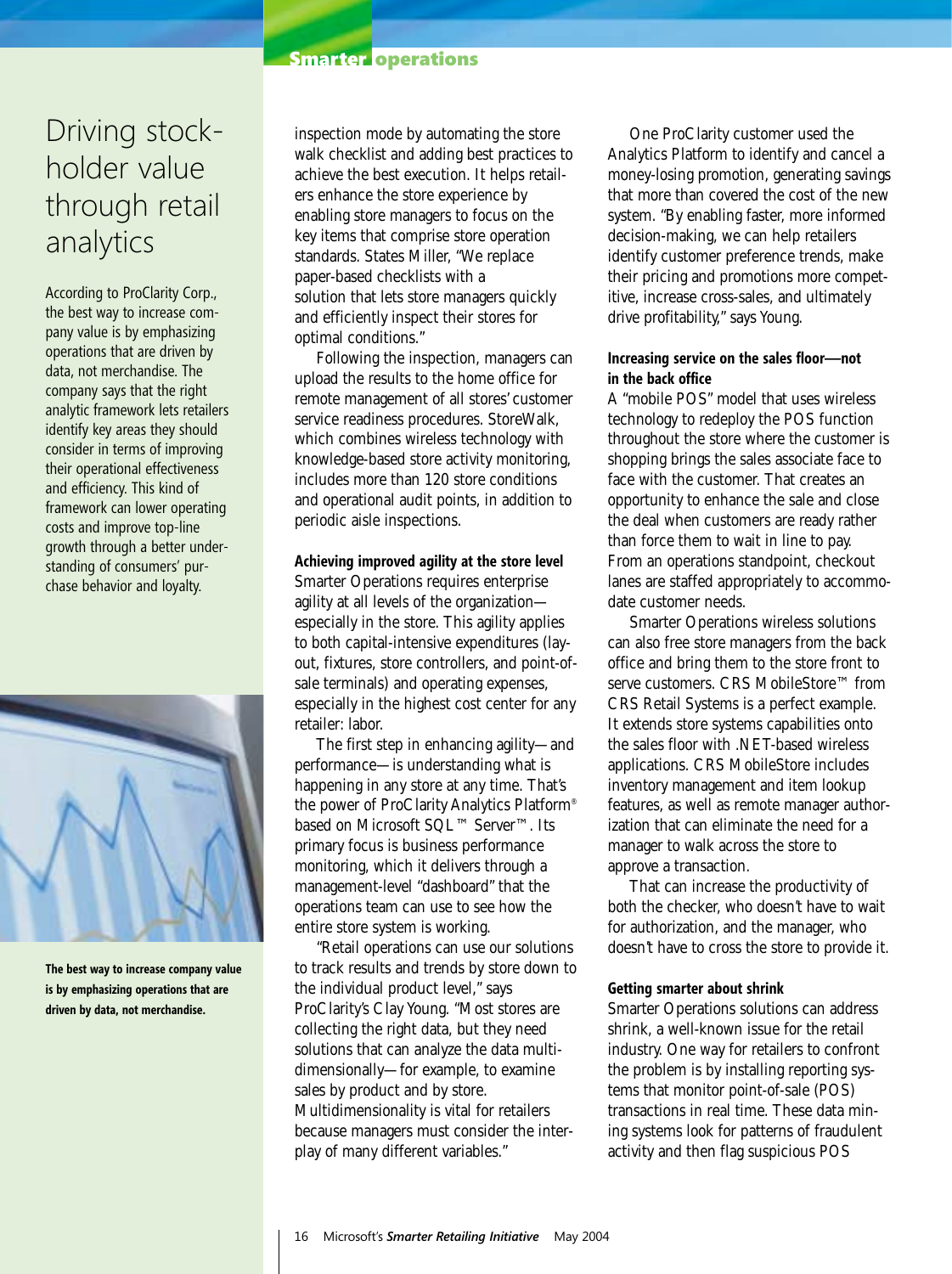#### **Smarter operations**

### Driving stockholder value through retail analytics

According to ProClarity Corp., the best way to increase company value is by emphasizing operations that are driven by data, not merchandise. The company says that the right analytic framework lets retailers identify key areas they should consider in terms of improving their operational effectiveness and efficiency. This kind of framework can lower operating costs and improve top-line growth through a better understanding of consumers' purchase behavior and loyalty.



**The best way to increase company value is by emphasizing operations that are driven by data, not merchandise.**

inspection mode by automating the store walk checklist and adding best practices to achieve the best execution. It helps retailers enhance the store experience by enabling store managers to focus on the key items that comprise store operation standards. States Miller, "We replace paper-based checklists with a solution that lets store managers quickly and efficiently inspect their stores for optimal conditions."

Following the inspection, managers can upload the results to the home office for remote management of all stores' customer service readiness procedures. StoreWalk, which combines wireless technology with knowledge-based store activity monitoring, includes more than 120 store conditions and operational audit points, in addition to periodic aisle inspections.

#### **Achieving improved agility at the store level**

Smarter Operations requires enterprise agility at all levels of the organization especially in the store. This agility applies to both capital-intensive expenditures (layout, fixtures, store controllers, and point-ofsale terminals) and operating expenses, especially in the highest cost center for any retailer: labor.

The first step in enhancing agility—and performance—is understanding what is happening in any store at any time. That's the power of ProClarity Analytics Platform® based on Microsoft SQL™ Server<sup>™</sup>. Its primary focus is business performance monitoring, which it delivers through a management-level "dashboard" that the operations team can use to see how the entire store system is working.

"Retail operations can use our solutions to track results and trends by store down to the individual product level," says ProClarity's Clay Young. "Most stores are collecting the right data, but they need solutions that can analyze the data multidimensionally—for example, to examine sales by product and by store. Multidimensionality is vital for retailers because managers must consider the interplay of many different variables."

One ProClarity customer used the Analytics Platform to identify and cancel a money-losing promotion, generating savings that more than covered the cost of the new system. "By enabling faster, more informed decision-making, we can help retailers identify customer preference trends, make their pricing and promotions more competitive, increase cross-sales, and ultimately drive profitability," says Young.

#### **Increasing service on the sales floor—not in the back office**

A "mobile POS" model that uses wireless technology to redeploy the POS function throughout the store where the customer is shopping brings the sales associate face to face with the customer. That creates an opportunity to enhance the sale and close the deal when customers are ready rather than force them to wait in line to pay. From an operations standpoint, checkout lanes are staffed appropriately to accommodate customer needs.

Smarter Operations wireless solutions can also free store managers from the back office and bring them to the store front to serve customers. CRS MobileStore™ from CRS Retail Systems is a perfect example. It extends store systems capabilities onto the sales floor with .NET-based wireless applications. CRS MobileStore includes inventory management and item lookup features, as well as remote manager authorization that can eliminate the need for a manager to walk across the store to approve a transaction.

That can increase the productivity of both the checker, who doesn't have to wait for authorization, and the manager, who doesn't have to cross the store to provide it.

#### **Getting smarter about shrink**

Smarter Operations solutions can address shrink, a well-known issue for the retail industry. One way for retailers to confront the problem is by installing reporting systems that monitor point-of-sale (POS) transactions in real time. These data mining systems look for patterns of fraudulent activity and then flag suspicious POS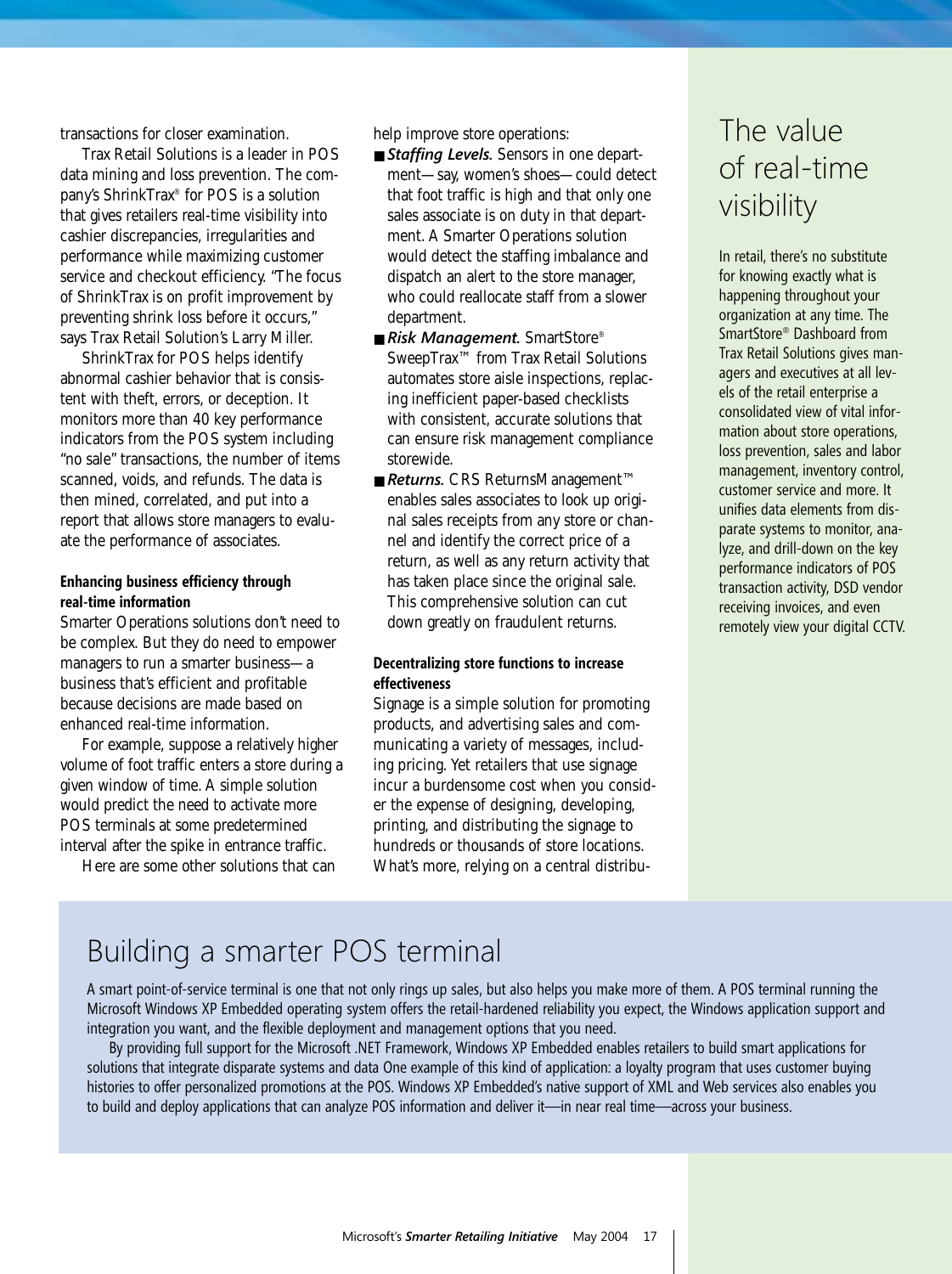transactions for closer examination.

Trax Retail Solutions is a leader in POS data mining and loss prevention. The company's ShrinkTrax® for POS is a solution that gives retailers real-time visibility into cashier discrepancies, irregularities and performance while maximizing customer service and checkout efficiency. "The focus of ShrinkTrax is on profit improvement by preventing shrink loss before it occurs," says Trax Retail Solution's Larry Miller.

ShrinkTrax for POS helps identify abnormal cashier behavior that is consistent with theft, errors, or deception. It monitors more than 40 key performance indicators from the POS system including "no sale" transactions, the number of items scanned, voids, and refunds. The data is then mined, correlated, and put into a report that allows store managers to evaluate the performance of associates.

#### **Enhancing business efficiency through real-time information**

Smarter Operations solutions don't need to be complex. But they do need to empower managers to run a smarter business—a business that's efficient and profitable because decisions are made based on enhanced real-time information.

For example, suppose a relatively higher volume of foot traffic enters a store during a given window of time. A simple solution would predict the need to activate more POS terminals at some predetermined interval after the spike in entrance traffic.

Here are some other solutions that can

help improve store operations:

- *Staffing Levels*. Sensors in one department—say, women's shoes—could detect that foot traffic is high and that only one sales associate is on duty in that department. A Smarter Operations solution would detect the staffing imbalance and dispatch an alert to the store manager, who could reallocate staff from a slower department.
- *Risk Management*. SmartStore® SweepTrax™ from Trax Retail Solutions automates store aisle inspections, replacing inefficient paper-based checklists with consistent, accurate solutions that can ensure risk management compliance storewide.
- **Returns.** CRS ReturnsManagement<sup>™</sup> enables sales associates to look up original sales receipts from any store or channel and identify the correct price of a return, as well as any return activity that has taken place since the original sale. This comprehensive solution can cut down greatly on fraudulent returns.

#### **Decentralizing store functions to increase effectiveness**

Signage is a simple solution for promoting products, and advertising sales and communicating a variety of messages, including pricing. Yet retailers that use signage incur a burdensome cost when you consider the expense of designing, developing, printing, and distributing the signage to hundreds or thousands of store locations. What's more, relying on a central distribu-

### The value of real-time visibility

In retail, there's no substitute for knowing exactly what is happening throughout your organization at any time. The SmartStore® Dashboard from Trax Retail Solutions gives managers and executives at all levels of the retail enterprise a consolidated view of vital information about store operations, loss prevention, sales and labor management, inventory control, customer service and more. It unifies data elements from disparate systems to monitor, analyze, and drill-down on the key performance indicators of POS transaction activity, DSD vendor receiving invoices, and even remotely view your digital CCTV.

### Building a smarter POS terminal

A smart point-of-service terminal is one that not only rings up sales, but also helps you make more of them. A POS terminal running the Microsoft Windows XP Embedded operating system offers the retail-hardened reliability you expect, the Windows application support and integration you want, and the flexible deployment and management options that you need.

By providing full support for the Microsoft .NET Framework, Windows XP Embedded enables retailers to build smart applications for solutions that integrate disparate systems and data One example of this kind of application: a loyalty program that uses customer buying histories to offer personalized promotions at the POS. Windows XP Embedded's native support of XML and Web services also enables you to build and deploy applications that can analyze POS information and deliver it—in near real time—across your business.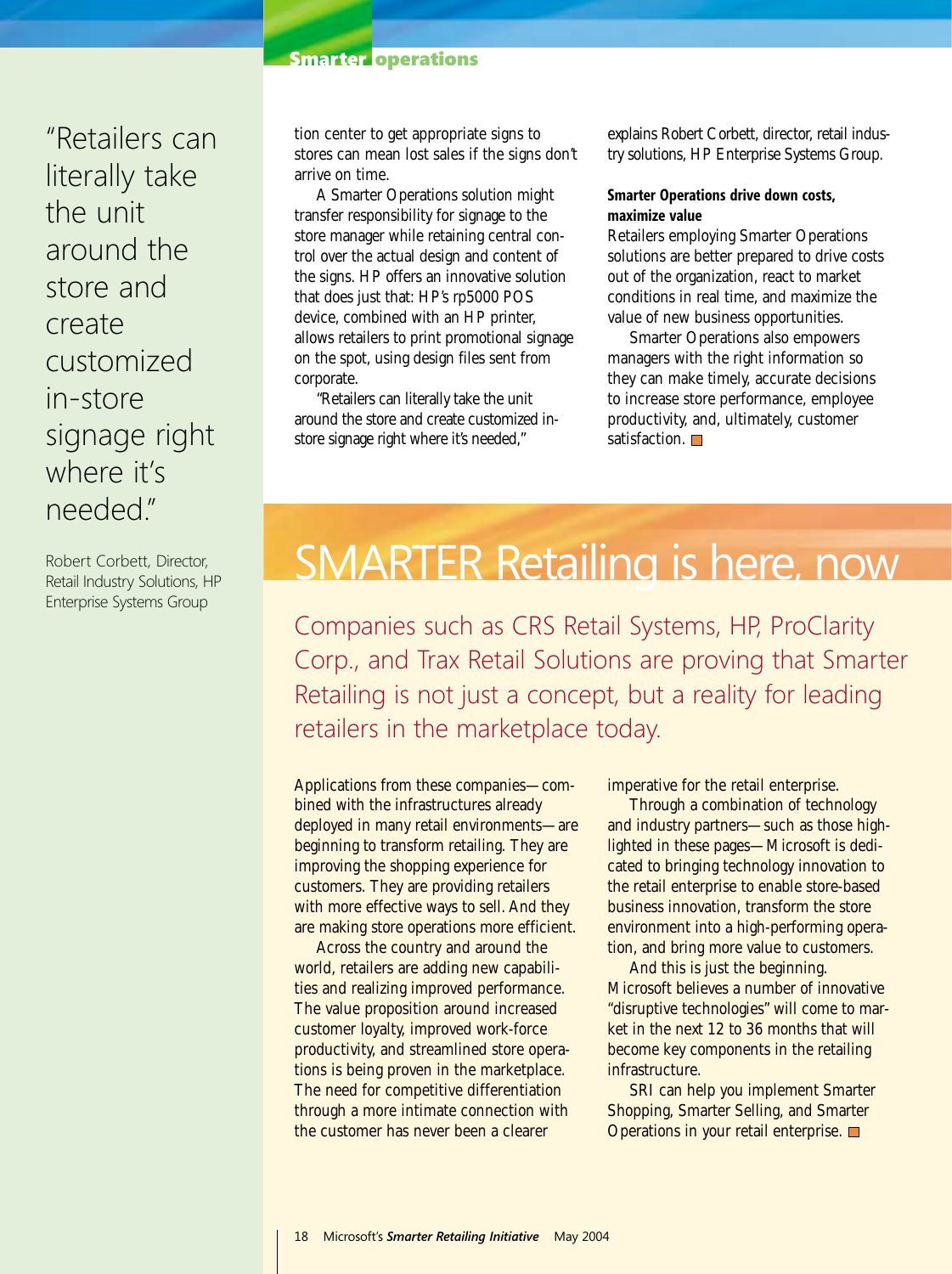#### **Smarter operations**

"Retailers can literally take the unit around the store and create customized in-store signage right where it's needed."

Robert Corbett, Director, Retail Industry Solutions, HP Enterprise Systems Group

tion center to get appropriate signs to stores can mean lost sales if the signs don't arrive on time.

A Smarter Operations solution might transfer responsibility for signage to the store manager while retaining central control over the actual design and content of the signs. HP offers an innovative solution that does just that: HP's rp5000 POS device, combined with an HP printer, allows retailers to print promotional signage on the spot, using design files sent from corporate.

"Retailers can literally take the unit around the store and create customized instore signage right where it's needed,"

explains Robert Corbett, director, retail industry solutions, HP Enterprise Systems Group.

#### **Smarter Operations drive down costs, maximize value**

Retailers employing Smarter Operations solutions are better prepared to drive costs out of the organization, react to market conditions in real time, and maximize the value of new business opportunities.

Smarter Operations also empowers managers with the right information so they can make timely, accurate decisions to increase store performance, employee productivity, and, ultimately, customer satisfaction.  $\Box$ 

# SMARTER Retailing is here, now

Companies such as CRS Retail Systems, HP, ProClarity Corp., and Trax Retail Solutions are proving that Smarter Retailing is not just a concept, but a reality for leading retailers in the marketplace today.

Applications from these companies—combined with the infrastructures already deployed in many retail environments—are beginning to transform retailing. They are improving the shopping experience for customers. They are providing retailers with more effective ways to sell. And they are making store operations more efficient.

Across the country and around the world, retailers are adding new capabilities and realizing improved performance. The value proposition around increased customer loyalty, improved work-force productivity, and streamlined store operations is being proven in the marketplace. The need for competitive differentiation through a more intimate connection with the customer has never been a clearer

imperative for the retail enterprise.

Through a combination of technology and industry partners—such as those highlighted in these pages—Microsoft is dedicated to bringing technology innovation to the retail enterprise to enable store-based business innovation, transform the store environment into a high-performing operation, and bring more value to customers.

And this is just the beginning. Microsoft believes a number of innovative "disruptive technologies" will come to market in the next 12 to 36 months that will become key components in the retailing infrastructure.

SRI can help you implement Smarter Shopping, Smarter Selling, and Smarter Operations in your retail enterprise.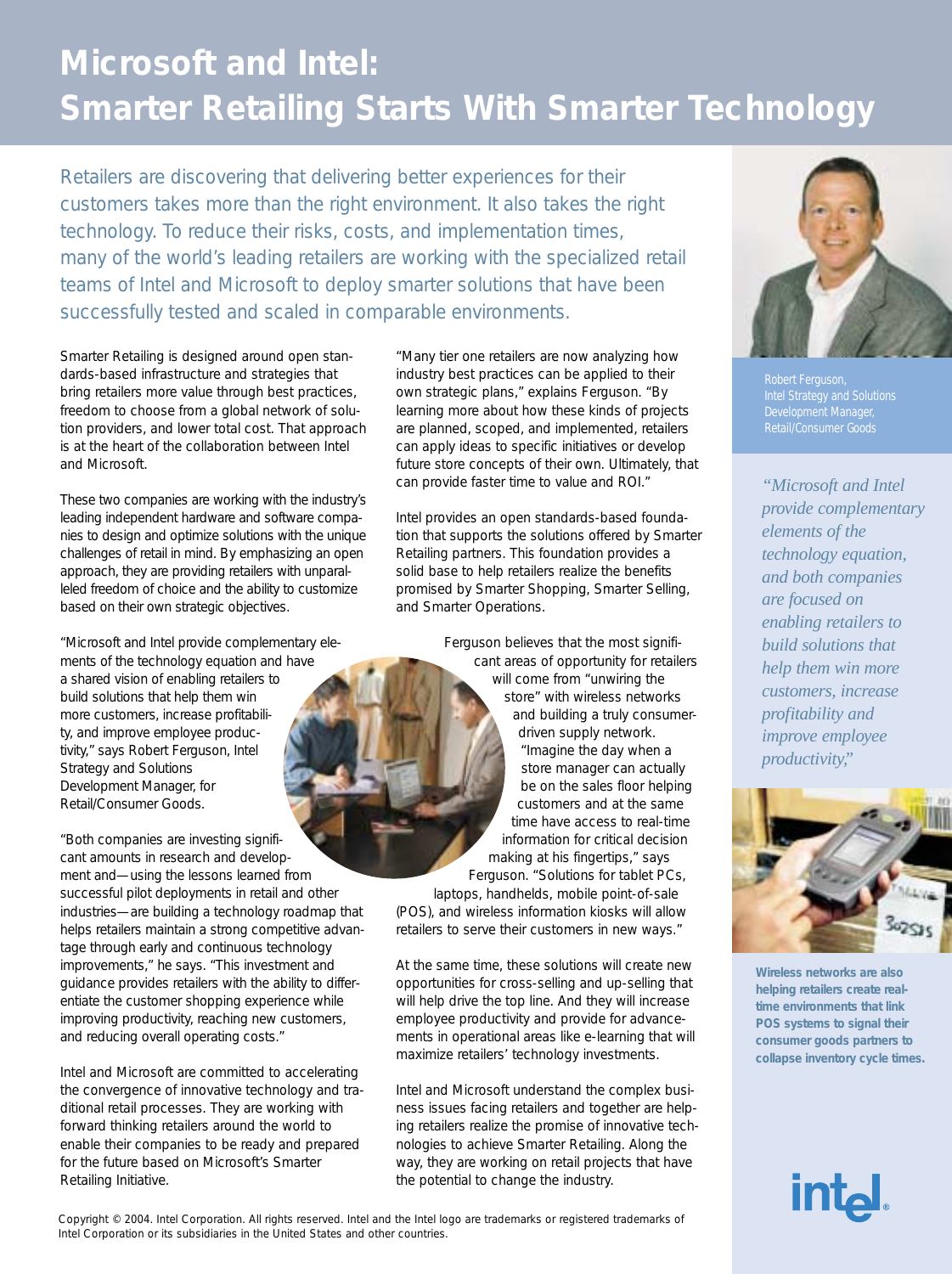# **Microsoft and Intel: Smarter Retailing Starts With Smarter Technology**

Retailers are discovering that delivering better experiences for their customers takes more than the right environment. It also takes the right technology. To reduce their risks, costs, and implementation times, many of the world's leading retailers are working with the specialized retail teams of Intel and Microsoft to deploy smarter solutions that have been successfully tested and scaled in comparable environments.

Smarter Retailing is designed around open standards-based infrastructure and strategies that bring retailers more value through best practices, freedom to choose from a global network of solution providers, and lower total cost. That approach is at the heart of the collaboration between Intel and Microsoft.

These two companies are working with the industry's leading independent hardware and software companies to design and optimize solutions with the unique challenges of retail in mind. By emphasizing an open approach, they are providing retailers with unparalleled freedom of choice and the ability to customize based on their own strategic objectives.

"Microsoft and Intel provide complementary elements of the technology equation and have a shared vision of enabling retailers to build solutions that help them win more customers, increase profitability, and improve employee productivity," says Robert Ferguson, Intel Strategy and Solutions Development Manager, for Retail/Consumer Goods.

"Both companies are investing significant amounts in research and development and—using the lessons learned from successful pilot deployments in retail and other industries—are building a technology roadmap that helps retailers maintain a strong competitive advantage through early and continuous technology improvements," he says. "This investment and guidance provides retailers with the ability to differentiate the customer shopping experience while improving productivity, reaching new customers, and reducing overall operating costs."

Intel and Microsoft are committed to accelerating the convergence of innovative technology and traditional retail processes. They are working with forward thinking retailers around the world to enable their companies to be ready and prepared for the future based on Microsoft's Smarter Retailing Initiative.

"Many tier one retailers are now analyzing how industry best practices can be applied to their own strategic plans," explains Ferguson. "By learning more about how these kinds of projects are planned, scoped, and implemented, retailers can apply ideas to specific initiatives or develop future store concepts of their own. Ultimately, that can provide faster time to value and ROI."

Intel provides an open standards-based foundation that supports the solutions offered by Smarter Retailing partners. This foundation provides a solid base to help retailers realize the benefits promised by Smarter Shopping, Smarter Selling, and Smarter Operations.

Ferguson believes that the most significant areas of opportunity for retailers will come from "unwiring the store" with wireless networks and building a truly consumerdriven supply network. "Imagine the day when a store manager can actually be on the sales floor helping customers and at the same time have access to real-time information for critical decision making at his fingertips," says Ferguson. "Solutions for tablet PCs, laptops, handhelds, mobile point-of-sale (POS), and wireless information kiosks will allow retailers to serve their customers in new ways."

At the same time, these solutions will create new opportunities for cross-selling and up-selling that will help drive the top line. And they will increase employee productivity and provide for advancements in operational areas like e-learning that will maximize retailers' technology investments.

Intel and Microsoft understand the complex business issues facing retailers and together are helping retailers realize the promise of innovative technologies to achieve Smarter Retailing. Along the way, they are working on retail projects that have the potential to change the industry.



Robert Ferguson, Intel Strategy and Solutions Development Manager, Retail/Consumer Goods

*"Microsoft and Intel provide complementary elements of the technology equation, and both companies are focused on enabling retailers to build solutions that help them win more customers, increase profitability and improve employee productivity,"*



**Wireless networks are also helping retailers create realtime environments that link POS systems to signal their consumer goods partners to collapse inventory cycle times.**